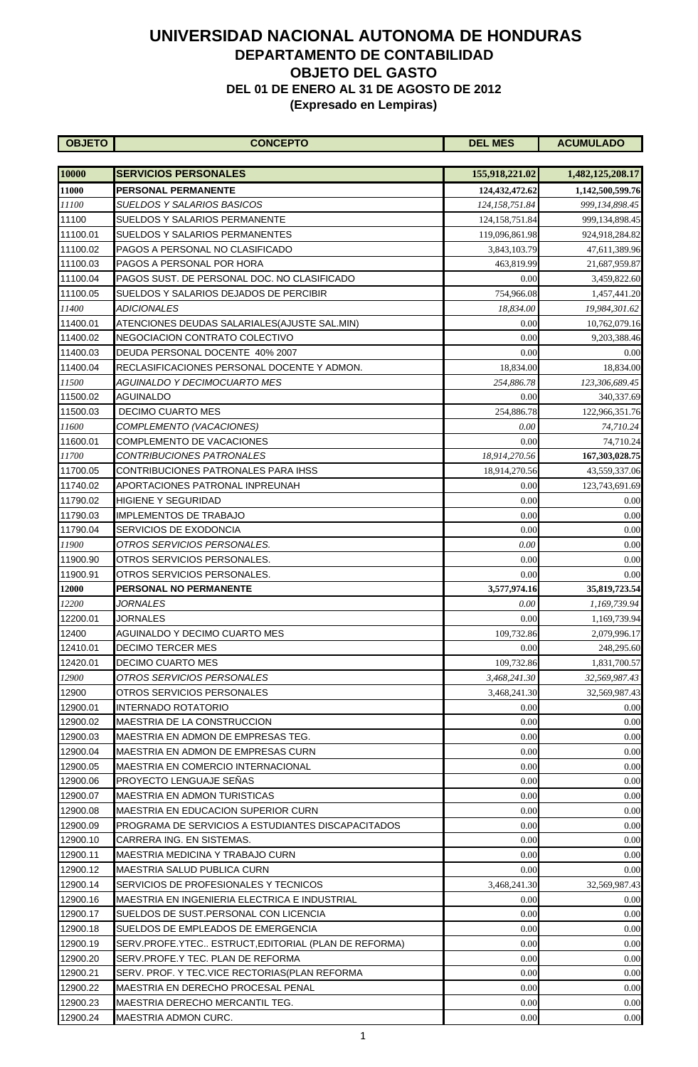| <b>OBJETO</b> | <b>CONCEPTO</b>                                     | <b>DEL MES</b>   | <b>ACUMULADO</b> |
|---------------|-----------------------------------------------------|------------------|------------------|
|               |                                                     |                  |                  |
| 10000         | <b>SERVICIOS PERSONALES</b>                         | 155,918,221.02   | 1,482,125,208.17 |
| 11000         | <b>PERSONAL PERMANENTE</b>                          | 124,432,472.62   | 1,142,500,599.76 |
| 11100         | SUELDOS Y SALARIOS BASICOS                          | 124,158,751.84   | 999,134,898.45   |
| 11100         | <b>SUELDOS Y SALARIOS PERMANENTE</b>                | 124, 158, 751.84 | 999,134,898.45   |
| 11100.01      | <b>SUELDOS Y SALARIOS PERMANENTES</b>               | 119,096,861.98   | 924,918,284.82   |
| 11100.02      | PAGOS A PERSONAL NO CLASIFICADO                     | 3,843,103.79     | 47,611,389.96    |
| 11100.03      | PAGOS A PERSONAL POR HORA                           | 463,819.99       | 21,687,959.87    |
| 11100.04      | PAGOS SUST. DE PERSONAL DOC. NO CLASIFICADO         | 0.00             | 3,459,822.60     |
| 11100.05      | SUELDOS Y SALARIOS DEJADOS DE PERCIBIR              | 754,966.08       | 1,457,441.20     |
| 11400         | ADICIONALES                                         | 18,834.00        | 19,984,301.62    |
| 11400.01      | ATENCIONES DEUDAS SALARIALES (AJUSTE SAL.MIN)       | 0.00             | 10,762,079.16    |
| 11400.02      | NEGOCIACION CONTRATO COLECTIVO                      | 0.00             | 9,203,388.46     |
| 11400.03      | DEUDA PERSONAL DOCENTE 40% 2007                     | 0.00             | 0.00             |
| 11400.04      | RECLASIFICACIONES PERSONAL DOCENTE Y ADMON.         | 18,834.00        | 18,834.00        |
| 11500         | AGUINALDO Y DECIMOCUARTO MES                        | 254,886.78       | 123,306,689.45   |
| 11500.02      | AGUINALDO                                           | 0.00             | 340,337.69       |
| 11500.03      | <b>DECIMO CUARTO MES</b>                            | 254,886.78       | 122,966,351.76   |
| 11600         | COMPLEMENTO (VACACIONES)                            | 0.00             | 74,710.24        |
| 11600.01      | COMPLEMENTO DE VACACIONES                           | 0.00             | 74,710.24        |
| 11700         | <i>CONTRIBUCIONES PATRONALES</i>                    | 18,914,270.56    | 167,303,028.75   |
| 11700.05      | CONTRIBUCIONES PATRONALES PARA IHSS                 | 18,914,270.56    | 43,559,337.06    |
| 11740.02      | APORTACIONES PATRONAL INPREUNAH                     | 0.00             | 123,743,691.69   |
| 11790.02      | <b>HIGIENE Y SEGURIDAD</b>                          | 0.00             | 0.00             |
| 11790.03      | <b>IMPLEMENTOS DE TRABAJO</b>                       | 0.00             | 0.00             |
| 11790.04      | SERVICIOS DE EXODONCIA                              | 0.00             | 0.00             |
| 11900         | OTROS SERVICIOS PERSONALES.                         | 0.00             | 0.00             |
| 11900.90      | OTROS SERVICIOS PERSONALES.                         | 0.00             | 0.00             |
| 11900.91      | OTROS SERVICIOS PERSONALES.                         | 0.00             | 0.00             |
| 12000         | PERSONAL NO PERMANENTE                              | 3,577,974.16     | 35,819,723.54    |
| 12200         | <b>JORNALES</b>                                     | 0.00             | 1,169,739.94     |
| 12200.01      | JORNALES                                            | 0.00             | 1,169,739.94     |
| 12400         | AGUINALDO Y DECIMO CUARTO MES                       | 109,732.86       | 2,079,996.17     |
| 12410.01      | <b>DECIMO TERCER MES</b>                            | 0.00             | 248,295.60       |
| 12420.01      | DECIMO CUARTO MES                                   | 109,732.86       | 1,831,700.57     |
| 12900         | OTROS SERVICIOS PERSONALES                          | 3,468,241.30     | 32,569,987.43    |
| 12900         | OTROS SERVICIOS PERSONALES                          | 3,468,241.30     | 32,569,987.43    |
| 12900.01      | <b>INTERNADO ROTATORIO</b>                          | 0.00             | 0.00             |
| 12900.02      | MAESTRIA DE LA CONSTRUCCION                         | 0.00             | 0.00             |
| 12900.03      | MAESTRIA EN ADMON DE EMPRESAS TEG.                  | 0.00             | 0.00             |
| 12900.04      | MAESTRIA EN ADMON DE EMPRESAS CURN                  | 0.00             | 0.00             |
| 12900.05      | <b>MAESTRIA EN COMERCIO INTERNACIONAL</b>           | 0.00             | 0.00             |
| 12900.06      | <b>PROYECTO LENGUAJE SEÑAS</b>                      | 0.00             | 0.00             |
| 12900.07      | MAESTRIA EN ADMON TURISTICAS                        | 0.00             | 0.00             |
| 12900.08      | <b>MAESTRIA EN EDUCACION SUPERIOR CURN</b>          | 0.00             | 0.00             |
| 12900.09      | PROGRAMA DE SERVICIOS A ESTUDIANTES DISCAPACITADOS  | 0.00             | 0.00             |
| 12900.10      | CARRERA ING. EN SISTEMAS.                           | 0.00             | 0.00             |
| 12900.11      | IMAESTRIA MEDICINA Y TRABAJO CURN                   | 0.00             | 0.00             |
| 12900.12      | MAESTRIA SALUD PUBLICA CURN                         | 0.00             | 0.00             |
| 12900.14      | SERVICIOS DE PROFESIONALES Y TECNICOS               | 3,468,241.30     | 32,569,987.43    |
| 12900.16      | MAESTRIA EN INGENIERIA ELECTRICA E INDUSTRIAL       | 0.00             | 0.00             |
| 12900.17      | SUELDOS DE SUST.PERSONAL CON LICENCIA               | 0.00             | 0.00             |
| 12900.18      | SUELDOS DE EMPLEADOS DE EMERGENCIA                  | 0.00             | 0.00             |
| 12900.19      | (SERV.PROFE.YTEC ESTRUCT,EDITORIAL (PLAN DE REFORMA | 0.00             | 0.00             |
| 12900.20      | SERV PROFE Y TEC. PLAN DE REFORMA                   | 0.00             | 0.00             |
| 12900.21      | SERV. PROF. Y TEC.VICE RECTORIAS (PLAN REFORMA      | 0.00             | 0.00             |
|               |                                                     |                  |                  |
| 12900.22      | <b>MAESTRIA EN DERECHO PROCESAL PENAL</b>           | 0.00             | 0.00             |
| 12900.23      | MAESTRIA DERECHO MERCANTIL TEG.                     | 0.00             | 0.00             |
| 12900.24      | MAESTRIA ADMON CURC.                                | 0.00             | 0.00             |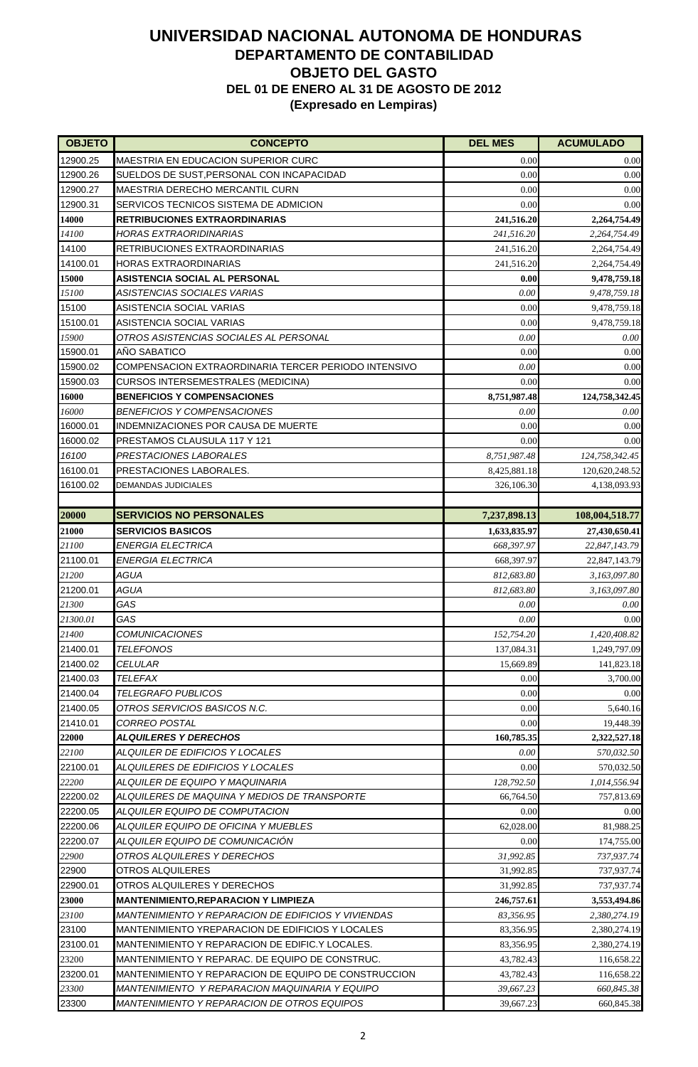| <b>OBJETO</b> | <b>CONCEPTO</b>                                      | <b>DEL MES</b> | <b>ACUMULADO</b> |
|---------------|------------------------------------------------------|----------------|------------------|
| 12900.25      | MAESTRIA EN EDUCACION SUPERIOR CURC                  | 0.00           | 0.00             |
| 12900.26      | SUELDOS DE SUST, PERSONAL CON INCAPACIDAD            | 0.00           | 0.00             |
| 12900.27      | MAESTRIA DERECHO MERCANTIL CURN                      | 0.00           | 0.00             |
| 12900.31      | SERVICOS TECNICOS SISTEMA DE ADMICION                | 0.00           | 0.00             |
| 14000         | <b>RETRIBUCIONES EXTRAORDINARIAS</b>                 | 241,516.20     | 2,264,754.49     |
| 14100         | HORAS EXTRAORIDINARIAS                               | 241,516.20     | 2,264,754.49     |
| 14100         | RETRIBUCIONES EXTRAORDINARIAS                        | 241,516.20     | 2,264,754.49     |
| 14100.01      | <b>HORAS EXTRAORDINARIAS</b>                         | 241,516.20     | 2,264,754.49     |
| 15000         | ASISTENCIA SOCIAL AL PERSONAL                        | 0.00           | 9,478,759.18     |
| 15100         | ASISTENCIAS SOCIALES VARIAS                          | 0.00           | 9,478,759.18     |
| 15100         | ASISTENCIA SOCIAL VARIAS                             | 0.00           | 9,478,759.18     |
| 15100.01      | ASISTENCIA SOCIAL VARIAS                             | 0.00           | 9,478,759.18     |
| 15900         | OTROS ASISTENCIAS SOCIALES AL PERSONAL               | 0.00           | $0.00\,$         |
| 15900.01      | AÑO SABATICO                                         | 0.00           | 0.00             |
| 15900.02      | COMPENSACION EXTRAORDINARIA TERCER PERIODO INTENSIVO | 0.00           | 0.00             |
| 15900.03      | <b>CURSOS INTERSEMESTRALES (MEDICINA)</b>            | 0.00           | 0.00             |
| 16000         | <b>BENEFICIOS Y COMPENSACIONES</b>                   | 8,751,987.48   | 124,758,342.45   |
| 16000         | <b>BENEFICIOS Y COMPENSACIONES</b>                   | 0.00           | 0.00             |
| 16000.01      | INDEMNIZACIONES POR CAUSA DE MUERTE                  | 0.00           | 0.00             |
| 16000.02      | PRESTAMOS CLAUSULA 117 Y 121                         | 0.00           | 0.00             |
| 16100         | PRESTACIONES LABORALES                               | 8,751,987.48   | 124,758,342.45   |
| 16100.01      | PRESTACIONES LABORALES.                              | 8,425,881.18   | 120,620,248.52   |
| 16100.02      | <b>DEMANDAS JUDICIALES</b>                           | 326,106.30     | 4,138,093.93     |
|               |                                                      |                |                  |
| 20000         | <b>SERVICIOS NO PERSONALES</b>                       | 7,237,898.13   | 108,004,518.77   |
| 21000         | <b>SERVICIOS BASICOS</b>                             | 1,633,835.97   | 27,430,650.41    |
| 21100         | <b>ENERGIA ELECTRICA</b>                             | 668,397.97     | 22,847,143.79    |
| 21100.01      | <b>ENERGIA ELECTRICA</b>                             | 668,397.97     | 22,847,143.79    |
| 21200         | <b>AGUA</b>                                          | 812,683.80     | 3,163,097.80     |
| 21200.01      | <b>AGUA</b>                                          | 812,683.80     | 3,163,097.80     |
| 21300         | GAS                                                  | 0.00           | 0.00             |
| 21300.01      | GAS                                                  | 0.00           | 0.00             |
| 21400         | <i>COMUNICACIONES</i>                                | 152,754.20     | 1,420,408.82     |
| 21400.01      | <b>TELEFONOS</b>                                     | 137,084.31     | 1,249,797.09     |
| 21400.02      | <b>CELULAR</b>                                       | 15,669.89      | 141,823.18       |
| 21400.03      | TELEFAX                                              | 0.00           | 3,700.00         |
| 21400.04      | <b>TELEGRAFO PUBLICOS</b>                            | 0.00           | 0.00             |
| 21400.05      | OTROS SERVICIOS BASICOS N.C.                         | 0.00           | 5,640.16         |
| 21410.01      | CORREO POSTAL                                        | 0.00           | 19,448.39        |
| 22000         | <b>ALQUILERES Y DERECHOS</b>                         | 160,785.35     | 2,322,527.18     |
| 22100         | ALQUILER DE EDIFICIOS Y LOCALES                      | 0.00           | 570,032.50       |
| 22100.01      | ALQUILERES DE EDIFICIOS Y LOCALES                    | 0.00           | 570,032.50       |
| 22200         | ALQUILER DE EQUIPO Y MAQUINARIA                      | 128,792.50     | 1,014,556.94     |
| 22200.02      | ALQUILERES DE MAQUINA Y MEDIOS DE TRANSPORTE         | 66,764.50      | 757,813.69       |
| 22200.05      | ALQUILER EQUIPO DE COMPUTACION                       | 0.00           | 0.00             |
| 22200.06      | ALQUILER EQUIPO DE OFICINA Y MUEBLES                 | 62,028.00      | 81,988.25        |
| 22200.07      | ALQUILER EQUIPO DE COMUNICACIÓN                      | 0.00           | 174,755.00       |
| 22900         | OTROS ALQUILERES Y DERECHOS                          | 31,992.85      | 737,937.74       |
| 22900         | OTROS ALQUILERES                                     | 31,992.85      | 737,937.74       |
| 22900.01      | OTROS ALQUILERES Y DERECHOS                          | 31,992.85      | 737,937.74       |
| 23000         | <b>MANTENIMIENTO, REPARACION Y LIMPIEZA</b>          | 246,757.61     | 3,553,494.86     |
| 23100         | MANTENIMIENTO Y REPARACION DE EDIFICIOS Y VIVIENDAS  | 83,356.95      | 2,380,274.19     |
| 23100         | MANTENIMIENTO YREPARACION DE EDIFICIOS Y LOCALES     | 83,356.95      | 2,380,274.19     |
| 23100.01      | MANTENIMIENTO Y REPARACION DE EDIFIC.Y LOCALES.      | 83,356.95      | 2,380,274.19     |
| 23200         | MANTENIMIENTO Y REPARAC. DE EQUIPO DE CONSTRUC.      | 43,782.43      | 116,658.22       |
| 23200.01      | MANTENIMIENTO Y REPARACION DE EQUIPO DE CONSTRUCCION | 43,782.43      | 116,658.22       |
| 23300         | MANTENIMIENTO Y REPARACION MAQUINARIA Y EQUIPO       | 39,667.23      | 660,845.38       |
| 23300         | <i>MANTENIMIENTO Y REPARACION DE OTROS EQUIPOS</i>   | 39,667.23      | 660,845.38       |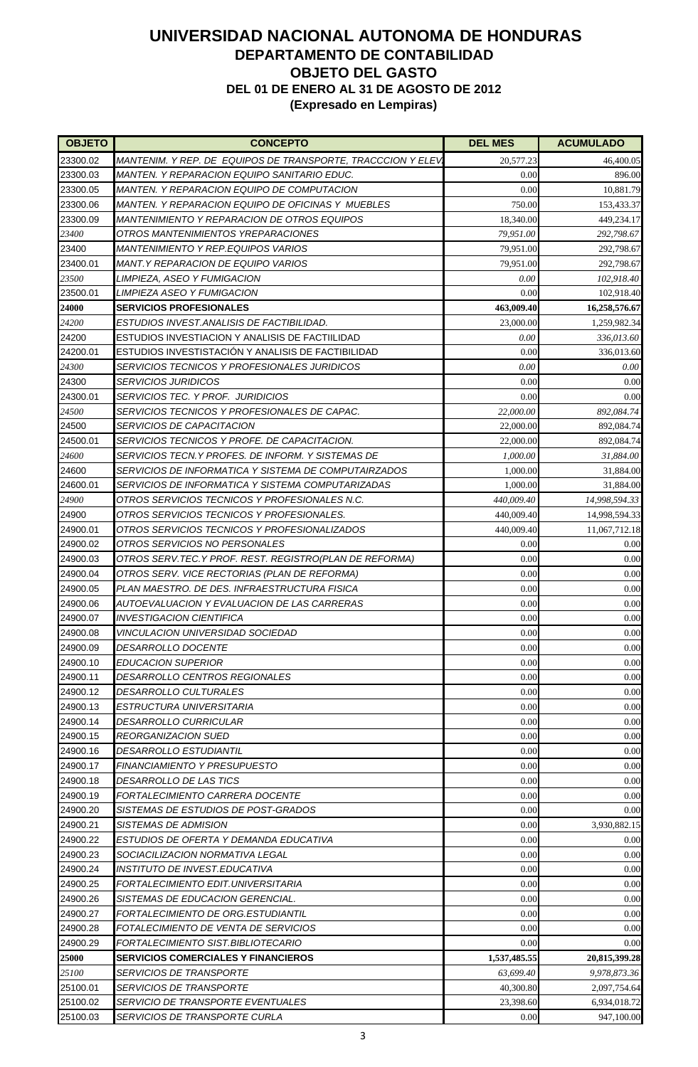| <b>OBJETO</b>        | <b>CONCEPTO</b>                                                                       | <b>DEL MES</b> | <b>ACUMULADO</b> |
|----------------------|---------------------------------------------------------------------------------------|----------------|------------------|
| 23300.02             | MANTENIM. Y REP. DE  EQUIPOS DE TRANSPORTE, TRACCCION Y ELEV                          | 20,577.23      | 46,400.05        |
| 23300.03             | MANTEN. Y REPARACION EQUIPO SANITARIO EDUC.                                           | 0.00           | 896.00           |
| 23300.05             | <i>MANTEN. Y REPARACION EQUIPO DE COMPUTACION</i>                                     | 0.00           | 10,881.79        |
| 23300.06             | MANTEN. Y REPARACION EQUIPO DE OFICINAS Y MUEBLES                                     | 750.00         | 153,433.37       |
| 23300.09             | MANTENIMIENTO Y REPARACION DE OTROS EQUIPOS                                           | 18,340.00      | 449,234.17       |
| 23400                | OTROS MANTENIMIENTOS YREPARACIONES                                                    | 79,951.00      | 292,798.67       |
| 23400                | <i>MANTENIMIENTO Y REP.EQUIPOS VARIOS</i>                                             | 79,951.00      | 292,798.67       |
| 23400.01             | <i>MANT.Y REPARACION DE EQUIPO VARIOS</i>                                             | 79,951.00      | 292,798.67       |
| 23500                | LIMPIEZA. ASEO Y FUMIGACION                                                           | 0.00           | 102,918.40       |
| 23500.01             | LIMPIEZA ASEO Y FUMIGACION                                                            | 0.00           | 102,918.40       |
| 24000                | <b>SERVICIOS PROFESIONALES</b>                                                        | 463,009.40     | 16,258,576.67    |
| 24200                | ESTUDIOS INVEST.ANALISIS DE FACTIBILIDAD.                                             | 23,000.00      | 1,259,982.34     |
| 24200                | ESTUDIOS INVESTIACION Y ANALISIS DE FACTIILIDAD                                       | 0.00           | 336,013.60       |
| 24200.01             | ESTUDIOS INVESTISTACION Y ANALISIS DE FACTIBILIDAD                                    | 0.00           | 336,013.60       |
| 24300                | <i>SERVICIOS TECNICOS Y PROFESIONALES JURIDICOS</i>                                   | 0.00           | 0.00             |
| 24300                | <i>SERVICIOS JURIDICOS</i>                                                            | 0.00           | 0.00             |
| 24300.01             | <b>SERVICIOS TEC. Y PROF. JURIDICIOS</b>                                              | 0.00           | 0.00             |
| 24500                | SERVICIOS TECNICOS Y PROFESIONALES DE CAPAC.                                          | 22,000.00      | 892,084.74       |
| 24500                | <i>SERVICIOS DE CAPACITACION</i>                                                      | 22,000.00      | 892,084.74       |
| 24500.01             | SERVICIOS TECNICOS Y PROFE. DE CAPACITACION.                                          | 22,000.00      | 892,084.74       |
| 24600                | SERVICIOS TECN.Y PROFES. DE INFORM. Y SISTEMAS DE                                     | 1,000.00       | 31,884.00        |
| 24600                | SERVICIOS DE INFORMATICA Y SISTEMA DE COMPUTAIRZADOS                                  | 1,000.00       | 31,884.00        |
| 24600.01             | SERVICIOS DE INFORMATICA Y SISTEMA COMPUTARIZADAS                                     | 1,000.00       | 31,884.00        |
| 24900                | OTROS SERVICIOS TECNICOS Y PROFESIONALES N.C.                                         | 440,009.40     | 14,998,594.33    |
| 24900                | OTROS SERVICIOS TECNICOS Y PROFESIONALES.                                             | 440,009.40     | 14,998,594.33    |
| 24900.01             | OTROS SERVICIOS TECNICOS Y PROFESIONALIZADOS                                          | 440,009.40     | 11,067,712.18    |
| 24900.02             | OTROS SERVICIOS NO PERSONALES                                                         | 0.00           | 0.00             |
| 24900.03             | OTROS SERV.TEC.Y PROF. REST. REGISTRO(PLAN DE REFORMA)                                | 0.00           | 0.00             |
| 24900.04             | OTROS SERV. VICE RECTORIAS (PLAN DE REFORMA)                                          | 0.00           | 0.00             |
| 24900.05             | PLAN MAESTRO. DE DES. INFRAESTRUCTURA FISICA                                          | 0.00           | 0.00             |
| 24900.06<br>24900.07 | AUTOEVALUACION Y EVALUACION DE LAS CARRERAS<br><i><b>INVESTIGACION CIENTIFICA</b></i> | 0.00<br>0.00   | 0.00<br>0.00     |
| 24900.08             | <i>VINCULACION UNIVERSIDAD SOCIEDAD</i>                                               | 0.00           | 0.00             |
| 24900.09             | DESARROLLO DOCENTE                                                                    | 0.00           | 0.00             |
| 24900.10             | <i>EDUCACION SUPERIOR</i>                                                             | 0.00           | 0.00             |
| 24900.11             | <i>DESARROLLO CENTROS REGIONALES</i>                                                  | 0.00           | 0.00             |
| 24900.12             | <b>DESARROLLO CULTURALES</b>                                                          | 0.00           | 0.00             |
| 24900.13             | ESTRUCTURA UNIVERSITARIA                                                              | 0.00           | 0.00             |
| 24900.14             | <i>DESARROLLO CURRICULAR</i>                                                          | 0.00           | 0.00             |
| 24900.15             | <i>REORGANIZACION SUED</i>                                                            | 0.00           | 0.00             |
| 24900.16             | DESARROLLO ESTUDIANTIL                                                                | 0.00           | 0.00             |
| 24900.17             | <b>FINANCIAMIENTO Y PRESUPUESTO</b>                                                   | 0.00           | 0.00             |
| 24900.18             | <i>DESARROLLO DE LAS TICS</i>                                                         | 0.00           | 0.00             |
| 24900.19             | FORTALECIMIENTO CARRERA DOCENTE                                                       | 0.00           | 0.00             |
| 24900.20             | SISTEMAS DE ESTUDIOS DE POST-GRADOS                                                   | 0.00           | 0.00             |
| 24900.21             | SISTEMAS DE ADMISION                                                                  | 0.00           | 3,930,882.15     |
| 24900.22             | ESTUDIOS DE OFERTA Y DEMANDA EDUCATIVA                                                | 0.00           | 0.00             |
| 24900.23             | SOCIACILIZACION NORMATIVA LEGAL                                                       | 0.00           | 0.00             |
| 24900.24             | INSTITUTO DE INVEST.EDUCATIVA                                                         | 0.00           | 0.00             |
| 24900.25             | FORTALECIMIENTO EDIT.UNIVERSITARIA                                                    | 0.00           | 0.00             |
| 24900.26             | SISTEMAS DE EDUCACION GERENCIAL.                                                      | 0.00           | 0.00             |
| 24900.27             | FORTALECIMIENTO DE ORG.ESTUDIANTIL                                                    | 0.00           | 0.00             |
| 24900.28             | <i>FOTALECIMIENTO DE VENTA DE SERVICIOS</i>                                           | 0.00           | 0.00             |
| 24900.29             | FORTALECIMIENTO SIST.BIBLIOTECARIO                                                    | 0.00           | 0.00             |
| 25000                | <b>SERVICIOS COMERCIALES Y FINANCIEROS</b>                                            | 1,537,485.55   | 20,815,399.28    |
| 25100                | <i>SERVICIOS DE TRANSPORTE</i>                                                        | 63,699.40      | 9,978,873.36     |
| 25100.01             | <i>SERVICIOS DE TRANSPORTE</i>                                                        | 40,300.80      | 2,097,754.64     |
| 25100.02             | <i>SERVICIO DE TRANSPORTE EVENTUALES</i>                                              | 23,398.60      | 6,934,018.72     |
| 25100.03             | <i>SERVICIOS DE TRANSPORTE CURLA</i>                                                  | 0.00           | 947,100.00       |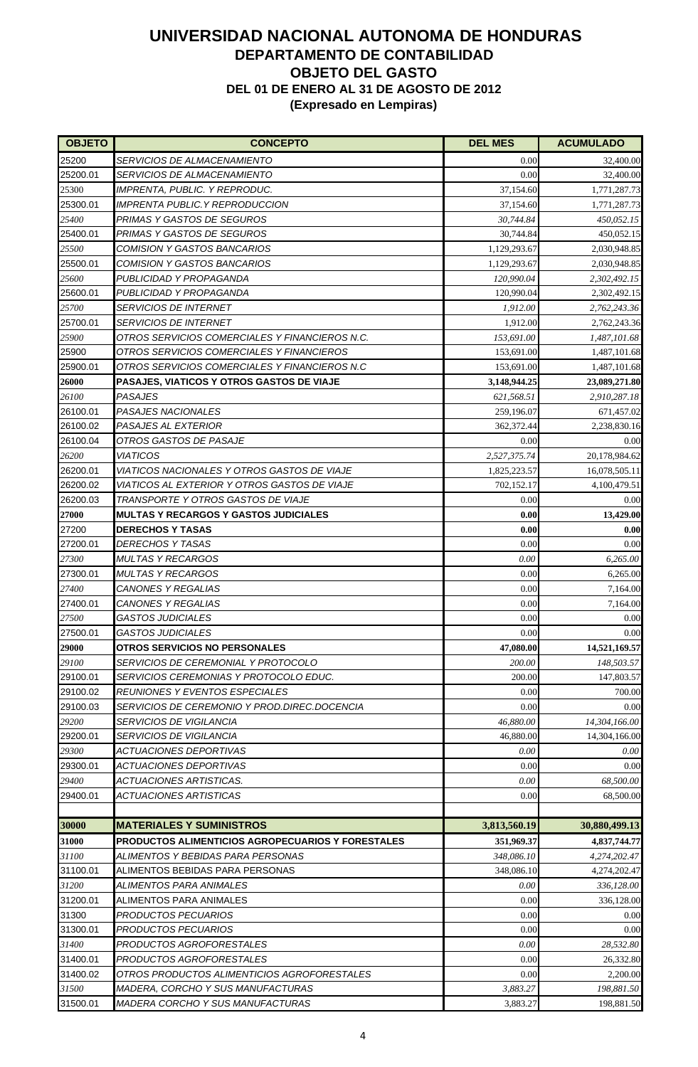| <b>OBJETO</b>        | <b>CONCEPTO</b>                                                                       | <b>DEL MES</b>    | <b>ACUMULADO</b>          |
|----------------------|---------------------------------------------------------------------------------------|-------------------|---------------------------|
| 25200                | <b>SERVICIOS DE ALMACENAMIENTO</b>                                                    | 0.00              | 32,400.00                 |
| 25200.01             | <b>SERVICIOS DE ALMACENAMIENTO</b>                                                    | 0.00              | 32,400.00                 |
| 25300                | IMPRENTA, PUBLIC. Y REPRODUC.                                                         | 37,154.60         | 1,771,287.73              |
| 25300.01             | <b>IMPRENTA PUBLIC. Y REPRODUCCION</b>                                                | 37,154.60         | 1,771,287.73              |
| 25400                | PRIMAS Y GASTOS DE SEGUROS                                                            | 30,744.84         | 450,052.15                |
| 25400.01             | PRIMAS Y GASTOS DE SEGUROS                                                            | 30,744.84         | 450,052.15                |
| 25500                | COMISION Y GASTOS BANCARIOS                                                           | 1,129,293.67      | 2,030,948.85              |
| 25500.01             | COMISION Y GASTOS BANCARIOS                                                           | 1,129,293.67      | 2,030,948.85              |
| 25600                | PUBLICIDAD Y PROPAGANDA                                                               | 120,990.04        | 2,302,492.15              |
| 25600.01             | PUBLICIDAD Y PROPAGANDA                                                               | 120,990.04        | 2,302,492.15              |
| 25700                | <b>SERVICIOS DE INTERNET</b>                                                          | 1,912.00          | 2,762,243.36              |
| 25700.01             | <b>SERVICIOS DE INTERNET</b>                                                          | 1,912.00          | 2,762,243.36              |
| 25900                | OTROS SERVICIOS COMERCIALES Y FINANCIEROS N.C.                                        | 153,691.00        | 1,487,101.68              |
| 25900                | OTROS SERVICIOS COMERCIALES Y FINANCIEROS                                             | 153,691.00        | 1,487,101.68              |
| 25900.01             | OTROS SERVICIOS COMERCIALES Y FINANCIEROS N.C                                         | 153,691.00        | 1,487,101.68              |
| 26000                | <b>PASAJES, VIATICOS Y OTROS GASTOS DE VIAJE</b>                                      | 3,148,944.25      | 23,089,271.80             |
| 26100                | <b>PASAJES</b>                                                                        | 621,568.51        | 2,910,287.18              |
| 26100.01             | <b>PASAJES NACIONALES</b>                                                             | 259,196.07        | 671,457.02                |
| 26100.02             | PASAJES AL EXTERIOR                                                                   | 362,372.44        | 2,238,830.16              |
| 26100.04             | OTROS GASTOS DE PASAJE                                                                | 0.00              | 0.00                      |
| 26200                | <b>VIATICOS</b>                                                                       | 2,527,375.74      | 20,178,984.62             |
| 26200.01             | <i>VIATICOS NACIONALES Y OTROS GASTOS DE VIAJE</i>                                    | 1,825,223.57      | 16,078,505.11             |
| 26200.02             | VIATICOS AL EXTERIOR Y OTROS GASTOS DE VIAJE                                          | 702,152.17        | 4,100,479.51              |
| 26200.03             | TRANSPORTE Y OTROS GASTOS DE VIAJE                                                    | 0.00              | 0.00                      |
| 27000                | <b>MULTAS Y RECARGOS Y GASTOS JUDICIALES</b>                                          | 0.00              | 13,429.00                 |
| 27200                | <b>DERECHOS Y TASAS</b>                                                               | 0.00              | 0.00                      |
| 27200.01             | DERECHOS Y TASAS                                                                      | 0.00              | 0.00                      |
| 27300                | <i>MULTAS Y RECARGOS</i>                                                              | 0.00              | 6,265.00                  |
| 27300.01             | <b>MULTAS Y RECARGOS</b>                                                              | 0.00              | 6,265.00                  |
| 27400                | <b>CANONES Y REGALIAS</b>                                                             | 0.00              | 7,164.00                  |
| 27400.01             | <b>CANONES Y REGALIAS</b>                                                             | 0.00              | 7,164.00                  |
| 27500                | <b>GASTOS JUDICIALES</b>                                                              | 0.00              | 0.00                      |
| 27500.01             | <b>GASTOS JUDICIALES</b>                                                              | 0.00              | 0.00                      |
| 29000                | <b>OTROS SERVICIOS NO PERSONALES</b>                                                  | 47,080.00         | 14,521,169.57             |
| 29100                | SERVICIOS DE CEREMONIAL Y PROTOCOLO                                                   | 200.00            | 148,503.57                |
| 29100.01             | SERVICIOS CEREMONIAS Y PROTOCOLO EDUC.                                                | 200.00            | 147,803.57                |
| 29100.02<br>29100.03 | <b>REUNIONES Y EVENTOS ESPECIALES</b><br>SERVICIOS DE CEREMONIO Y PROD.DIREC.DOCENCIA | 0.00              | 700.00                    |
| 29200                |                                                                                       | 0.00              | 0.00                      |
|                      | <i>SERVICIOS DE VIGILANCIA</i><br><b>SERVICIOS DE VIGILANCIA</b>                      | 46,880.00         | 14,304,166.00             |
| 29200.01<br>29300    | ACTUACIONES DEPORTIVAS                                                                | 46,880.00<br>0.00 | 14,304,166.00<br>$0.00\,$ |
| 29300.01             | ACTUACIONES DEPORTIVAS                                                                | 0.00              | 0.00                      |
| 29400                | <b>ACTUACIONES ARTISTICAS.</b>                                                        | 0.00              | 68,500.00                 |
| 29400.01             | ACTUACIONES ARTISTICAS                                                                | 0.00              | 68,500.00                 |
|                      |                                                                                       |                   |                           |
| 30000                | <b>MATERIALES Y SUMINISTROS</b>                                                       | 3,813,560.19      | 30,880,499.13             |
| 31000                | PRODUCTOS ALIMENTICIOS AGROPECUARIOS Y FORESTALES                                     | 351,969.37        | 4,837,744.77              |
| 31100                | ALIMENTOS Y BEBIDAS PARA PERSONAS                                                     | 348,086.10        | 4,274,202.47              |
| 31100.01             | ALIMENTOS BEBIDAS PARA PERSONAS                                                       | 348,086.10        | 4,274,202.47              |
| 31200                | ALIMENTOS PARA ANIMALES                                                               | 0.00              | 336,128.00                |
| 31200.01             | ALIMENTOS PARA ANIMALES                                                               | 0.00              | 336,128.00                |
| 31300                | PRODUCTOS PECUARIOS                                                                   | 0.00              | 0.00                      |
| 31300.01             | PRODUCTOS PECUARIOS                                                                   | 0.00              | 0.00                      |
| 31400                | PRODUCTOS AGROFORESTALES                                                              | 0.00              | 28,532.80                 |
| 31400.01             | PRODUCTOS AGROFORESTALES                                                              | 0.00              | 26,332.80                 |
| 31400.02             | OTROS PRODUCTOS ALIMENTICIOS AGROFORESTALES                                           | 0.00              | 2,200.00                  |
| 31500                | <i>MADERA. CORCHO Y SUS MANUFACTURAS</i>                                              | 3,883.27          | 198,881.50                |
| 31500.01             | <b>MADERA CORCHO Y SUS MANUFACTURAS</b>                                               | 3,883.27          | 198,881.50                |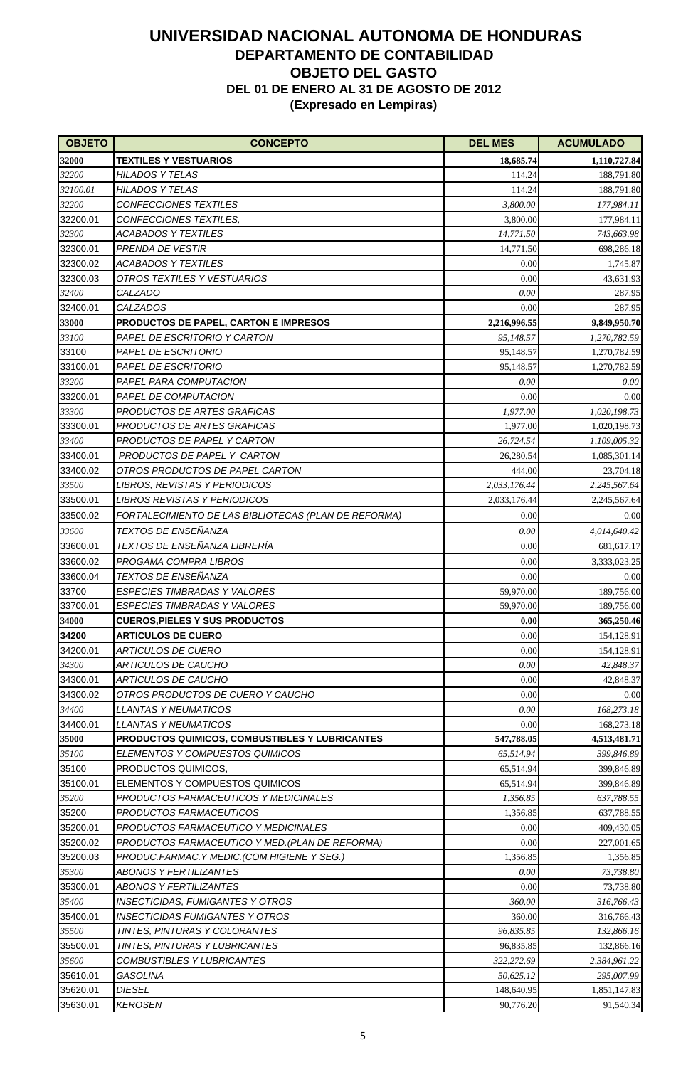| <b>OBJETO</b> | <b>CONCEPTO</b>                                      | <b>DEL MES</b> | <b>ACUMULADO</b> |
|---------------|------------------------------------------------------|----------------|------------------|
| 32000         | TEXTILES Y VESTUARIOS                                | 18,685.74      | 1,110,727.84     |
| 32200         | <b>HILADOS Y TELAS</b>                               | 114.24         | 188,791.80       |
| 32100.01      | HILADOS Y TELAS                                      | 114.24         | 188,791.80       |
| 32200         | CONFECCIONES TEXTILES                                | 3,800.00       | 177,984.11       |
| 32200.01      | CONFECCIONES TEXTILES,                               | 3,800.00       | 177,984.11       |
| 32300         | <b>ACABADOS Y TEXTILES</b>                           | 14,771.50      | 743,663.98       |
| 32300.01      | <b>PRENDA DE VESTIR</b>                              | 14,771.50      | 698,286.18       |
| 32300.02      | ACABADOS Y TEXTILES                                  | 0.00           | 1,745.87         |
| 32300.03      | OTROS TEXTILES Y VESTUARIOS                          | 0.00           | 43,631.93        |
| 32400         | <b>CALZADO</b>                                       | 0.00           | 287.95           |
| 32400.01      | <b>CALZADOS</b>                                      | 0.00           | 287.95           |
| 33000         | <b>PRODUCTOS DE PAPEL, CARTON E IMPRESOS</b>         | 2,216,996.55   | 9,849,950.70     |
| 33100         | PAPEL DE ESCRITORIO Y CARTON                         | 95,148.57      | 1,270,782.59     |
| 33100         | <i>PAPEL DE ESCRITORIO</i>                           | 95,148.57      | 1,270,782.59     |
| 33100.01      | <i>PAPEL DE ESCRITORIO</i>                           | 95,148.57      | 1,270,782.59     |
| 33200         | PAPEL PARA COMPUTACION                               | 0.00           | 0.00             |
| 33200.01      | PAPEL DE COMPUTACION                                 | 0.00           | 0.00             |
| 33300         | <b>PRODUCTOS DE ARTES GRAFICAS</b>                   | 1,977.00       | 1,020,198.73     |
| 33300.01      | PRODUCTOS DE ARTES GRAFICAS                          | 1,977.00       | 1,020,198.73     |
| 33400         | PRODUCTOS DE PAPEL Y CARTON                          | 26,724.54      | 1,109,005.32     |
| 33400.01      | PRODUCTOS DE PAPEL Y CARTON                          | 26,280.54      | 1,085,301.14     |
| 33400.02      | OTROS PRODUCTOS DE PAPEL CARTON                      | 444.00         | 23,704.18        |
| 33500         | LIBROS, REVISTAS Y PERIODICOS                        | 2,033,176.44   | 2,245,567.64     |
| 33500.01      | <b>LIBROS REVISTAS Y PERIODICOS</b>                  | 2,033,176.44   | 2,245,567.64     |
| 33500.02      | FORTALECIMIENTO DE LAS BIBLIOTECAS (PLAN DE REFORMA) | 0.00           | 0.00             |
| 33600         | TEXTOS DE ENSEÑANZA                                  | 0.00           | 4,014,640.42     |
| 33600.01      | TEXTOS DE ENSEÑANZA LIBRERÍA                         | 0.00           | 681,617.17       |
| 33600.02      | PROGAMA COMPRA LIBROS                                | 0.00           | 3,333,023.25     |
| 33600.04      | TEXTOS DE ENSEÑANZA                                  | 0.00           | 0.00             |
| 33700         | ESPECIES TIMBRADAS Y VALORES                         | 59,970.00      | 189,756.00       |
| 33700.01      | ESPECIES TIMBRADAS Y VALORES                         | 59,970.00      | 189,756.00       |
| 34000         | <b>CUEROS, PIELES Y SUS PRODUCTOS</b>                | 0.00           | 365,250.46       |
| 34200         | <b>ARTICULOS DE CUERO</b>                            | 0.00           | 154,128.91       |
| 34200.01      | <b>ARTICULOS DE CUERO</b>                            | 0.00           | 154,128.91       |
| 34300         | ARTICULOS DE CAUCHO                                  | 0.00           | 42,848.37        |
| 34300.01      | ARTICULOS DE CAUCHO                                  | 0.00           | 42,848.37        |
| 34300.02      | OTROS PRODUCTOS DE CUERO Y CAUCHO                    | 0.00           | 0.00             |
| 34400         | <i>LLANTAS Y NEUMATICOS</i>                          | 0.00           | 168,273.18       |
| 34400.01      | LLANTAS Y NEUMATICOS                                 | 0.00           | 168,273.18       |
| 35000         | PRODUCTOS QUIMICOS, COMBUSTIBLES Y LUBRICANTES       | 547,788.05     | 4,513,481.71     |
| 35100         | ELEMENTOS Y COMPUESTOS QUIMICOS                      | 65,514.94      | 399,846.89       |
| 35100         | PRODUCTOS QUIMICOS,                                  | 65,514.94      | 399,846.89       |
| 35100.01      | ELEMENTOS Y COMPUESTOS QUIMICOS                      | 65,514.94      | 399,846.89       |
| 35200         | PRODUCTOS FARMACEUTICOS Y MEDICINALES                | 1,356.85       | 637,788.55       |
| 35200         | PRODUCTOS FARMACEUTICOS                              | 1,356.85       | 637,788.55       |
| 35200.01      | PRODUCTOS FARMACEUTICO Y MEDICINALES                 | 0.00           | 409,430.05       |
| 35200.02      | PRODUCTOS FARMACEUTICO Y MED. (PLAN DE REFORMA)      | 0.00           | 227,001.65       |
| 35200.03      | PRODUC.FARMAC.Y MEDIC.(COM.HIGIENE Y SEG.)           | 1,356.85       | 1,356.85         |
| 35300         | ABONOS Y FERTILIZANTES                               | 0.00           | 73,738.80        |
| 35300.01      | <b>ABONOS Y FERTILIZANTES</b>                        | 0.00           | 73,738.80        |
| 35400         | <b>INSECTICIDAS, FUMIGANTES Y OTROS</b>              | 360.00         | 316,766.43       |
| 35400.01      | INSECTICIDAS FUMIGANTES Y OTROS                      | 360.00         | 316,766.43       |
| 35500         | TINTES, PINTURAS Y COLORANTES                        | 96,835.85      | 132,866.16       |
| 35500.01      | TINTES, PINTURAS Y LUBRICANTES                       | 96,835.85      | 132,866.16       |
| 35600         | <i>COMBUSTIBLES Y LUBRICANTES</i>                    | 322,272.69     | 2,384,961.22     |
| 35610.01      | GASOLINA                                             | 50,625.12      | 295,007.99       |
| 35620.01      | <b>DIESEL</b>                                        | 148,640.95     | 1,851,147.83     |
| 35630.01      | <b>KEROSEN</b>                                       | 90,776.20      | 91,540.34        |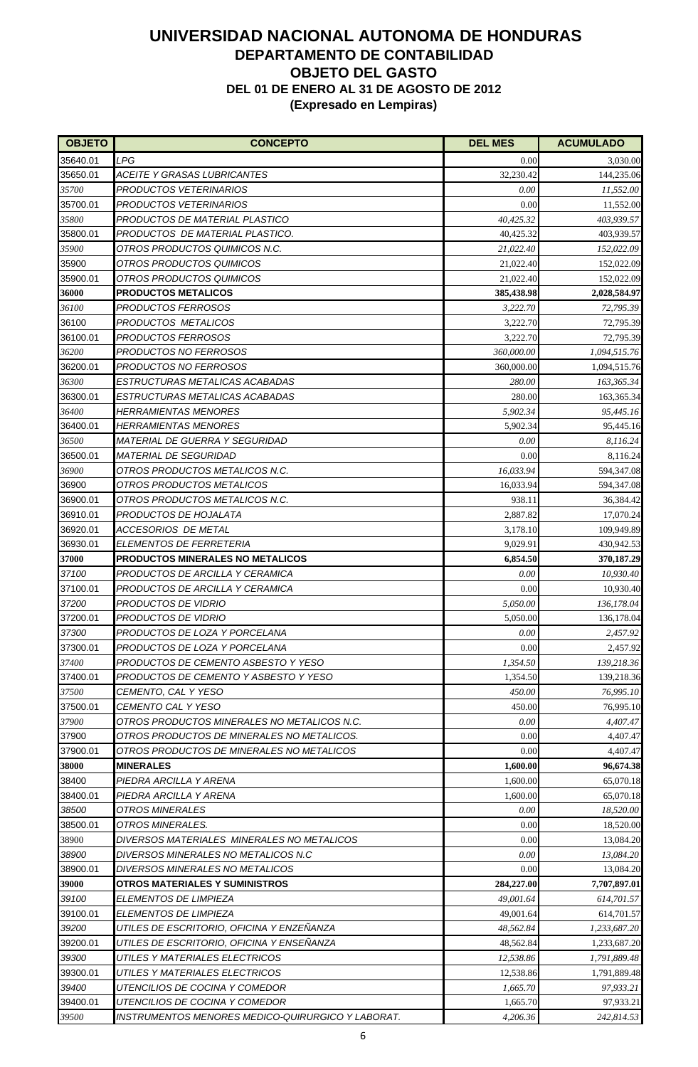| <b>OBJETO</b>     | <b>CONCEPTO</b>                                   | <b>DEL MES</b>   | <b>ACUMULADO</b>          |
|-------------------|---------------------------------------------------|------------------|---------------------------|
| 35640.01          | LPG                                               | 0.00             | 3,030.00                  |
| 35650.01          | ACEITE Y GRASAS LUBRICANTES                       | 32,230.42        | 144,235.06                |
| 35700             | PRODUCTOS VETERINARIOS                            | 0.00             | 11,552.00                 |
| 35700.01          | PRODUCTOS VETERINARIOS                            | 0.00             | 11,552.00                 |
| 35800             | PRODUCTOS DE MATERIAL PLASTICO                    | 40,425.32        | 403,939.57                |
| 35800.01          | PRODUCTOS DE MATERIAL PLASTICO.                   | 40,425.32        | 403,939.57                |
| 35900             | OTROS PRODUCTOS QUIMICOS N.C.                     | 21,022.40        | 152,022.09                |
| 35900             | OTROS PRODUCTOS QUIMICOS                          | 21,022.40        | 152,022.09                |
| 35900.01          | OTROS PRODUCTOS QUIMICOS                          | 21,022.40        | 152,022.09                |
| 36000             | <b>PRODUCTOS METALICOS</b>                        | 385,438.98       | 2,028,584.97              |
| 36100             | PRODUCTOS FERROSOS                                | 3,222.70         | 72,795.39                 |
| 36100             | PRODUCTOS METALICOS                               | 3,222.70         | 72,795.39                 |
| 36100.01          | <b>PRODUCTOS FERROSOS</b>                         | 3,222.70         | 72,795.39                 |
| 36200             | PRODUCTOS NO FERROSOS                             | 360,000.00       | 1,094,515.76              |
| 36200.01          | PRODUCTOS NO FERROSOS                             | 360,000.00       | 1,094,515.76              |
| 36300             | ESTRUCTURAS METALICAS ACABADAS                    | 280.00           | 163,365.34                |
| 36300.01          | ESTRUCTURAS METALICAS ACABADAS                    | 280.00           | 163,365.34                |
| 36400             | <b>HERRAMIENTAS MENORES</b>                       | 5,902.34         | 95,445.16                 |
| 36400.01          | <b>HERRAMIENTAS MENORES</b>                       | 5,902.34         | 95,445.16                 |
| 36500             | MATERIAL DE GUERRA Y SEGURIDAD                    | 0.00             | 8,116.24                  |
| 36500.01          | <i>MATERIAL DE SEGURIDAD</i>                      | 0.00             | 8,116.24                  |
| 36900             | OTROS PRODUCTOS METALICOS N.C.                    | 16,033.94        | 594,347.08                |
| 36900             | OTROS PRODUCTOS METALICOS                         | 16,033.94        | 594,347.08                |
| 36900.01          | OTROS PRODUCTOS METALICOS N.C.                    | 938.11           | 36,384.42                 |
| 36910.01          | PRODUCTOS DE HOJALATA                             | 2,887.82         | 17,070.24                 |
| 36920.01          | ACCESORIOS  DE METAL                              | 3,178.10         | 109,949.89                |
| 36930.01          | ELEMENTOS DE FERRETERIA                           | 9,029.91         | 430,942.53                |
| 37000             | <b>PRODUCTOS MINERALES NO METALICOS</b>           | 6,854.50         | 370,187.29                |
| 37100             | PRODUCTOS DE ARCILLA Y CERAMICA                   | 0.00             | 10,930.40                 |
| 37100.01          | PRODUCTOS DE ARCILLA Y CERAMICA                   | 0.00             | 10,930.40                 |
| 37200             | PRODUCTOS DE VIDRIO                               | 5,050.00         | 136,178.04                |
| 37200.01          | PRODUCTOS DE VIDRIO                               | 5,050.00         | 136,178.04                |
| 37300             | PRODUCTOS DE LOZA Y PORCELANA                     | 0.00             | 2,457.92                  |
| 37300.01          | PRODUCTOS DE LOZA Y PORCELANA                     | 0.00             | 2,457.92                  |
| 37400             | PRODUCTOS DE CEMENTO ASBESTO Y YESO               | 1,354.50         | 139,218.36                |
| 37400.01          | PRODUCTOS DE CEMENTO Y ASBESTO Y YESO             | 1,354.50         | 139,218.36                |
| 37500             | CEMENTO, CAL Y YESO                               | 450.00           | 76,995.10                 |
| 37500.01          | CEMENTO CAL Y YESO                                | 450.00           | 76,995.10                 |
| 37900             | OTROS PRODUCTOS MINERALES NO METALICOS N.C.       | 0.00             | 4,407.47                  |
| 37900             | OTROS PRODUCTOS DE MINERALES NO METALICOS.        | 0.00             | 4,407.47                  |
| 37900.01          | OTROS PRODUCTOS DE MINERALES NO METALICOS         | 0.00             | 4,407.47                  |
| 38000             | <b>MINERALES</b>                                  | 1,600.00         | 96,674.38                 |
| 38400             | PIEDRA ARCILLA Y ARENA                            | 1,600.00         | 65,070.18                 |
| 38400.01<br>38500 | PIEDRA ARCILLA Y ARENA<br>OTROS MINERALES         | 1,600.00<br>0.00 | 65,070.18                 |
| 38500.01          | OTROS MINERALES.                                  |                  | 18,520.00                 |
| 38900             | DIVERSOS MATERIALES MINERALES NO METALICOS        | 0.00<br>0.00     | 18,520.00<br>13,084.20    |
| 38900             | DIVERSOS MINERALES NO METALICOS N.C               | 0.00             |                           |
| 38900.01          | DIVERSOS MINERALES NO METALICOS                   | 0.00             | 13,084.20                 |
| 39000             | OTROS MATERIALES Y SUMINISTROS                    | 284,227.00       | 13,084.20<br>7,707,897.01 |
| 39100             | ELEMENTOS DE LIMPIEZA                             | 49,001.64        | 614,701.57                |
| 39100.01          | ELEMENTOS DE LIMPIEZA                             | 49,001.64        | 614,701.57                |
| 39200             | UTILES DE ESCRITORIO, OFICINA Y ENZEÑANZA         | 48,562.84        | 1,233,687.20              |
| 39200.01          | UTILES DE ESCRITORIO, OFICINA Y ENSEÑANZA         | 48,562.84        | 1,233,687.20              |
| 39300             | UTILES Y MATERIALES ELECTRICOS                    | 12,538.86        | 1,791,889.48              |
| 39300.01          | UTILES Y MATERIALES ELECTRICOS                    | 12,538.86        | 1,791,889.48              |
| 39400             | UTENCILIOS DE COCINA Y COMEDOR                    | 1,665.70         | 97,933.21                 |
| 39400.01          | UTENCILIOS DE COCINA Y COMEDOR                    | 1,665.70         | 97,933.21                 |
| 39500             | INSTRUMENTOS MENORES MEDICO-QUIRURGICO Y LABORAT. | 4,206.36         | 242,814.53                |
|                   |                                                   |                  |                           |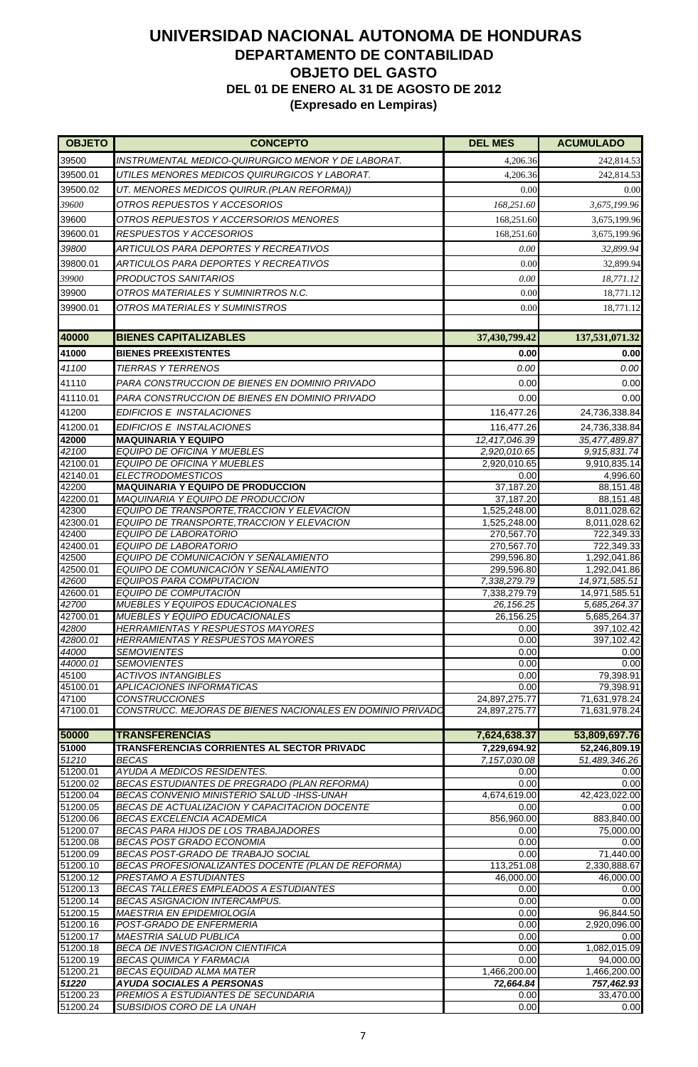| <b>OBJETO</b>        | <b>CONCEPTO</b>                                                          | <b>DEL MES</b>           | <b>ACUMULADO</b>           |
|----------------------|--------------------------------------------------------------------------|--------------------------|----------------------------|
| 39500                | INSTRUMENTAL MEDICO-QUIRURGICO MENOR Y DE LABORAT.                       | 4,206.36                 | 242,814.53                 |
| 39500.01             | UTILES MENORES MEDICOS QUIRURGICOS Y LABORAT.                            | 4.206.36                 | 242,814.53                 |
| 39500.02             | UT. MENORES MEDICOS QUIRUR. (PLAN REFORMA))                              | 0.00                     | 0.00                       |
| 39600                | OTROS REPUESTOS Y ACCESORIOS                                             | 168,251.60               | 3,675,199.96               |
| 39600                | OTROS REPUESTOS Y ACCERSORIOS MENORES                                    | 168,251.60               | 3,675,199.96               |
| 39600.01             | <i>RESPUESTOS Y ACCESORIOS</i>                                           | 168,251.60               | 3,675,199.96               |
| 39800                | ARTICULOS PARA DEPORTES Y RECREATIVOS                                    | 0.00                     | 32,899.94                  |
| 39800.01             | ARTICULOS PARA DEPORTES Y RECREATIVOS                                    | 0.00                     | 32,899.94                  |
| 39900                | PRODUCTOS SANITARIOS                                                     | 0.00                     | 18,771.12                  |
| 39900                | OTROS MATERIALES Y SUMINIRTROS N.C.                                      | 0.00                     | 18,771.12                  |
| 39900.01             | <b>OTROS MATERIALES Y SUMINISTROS</b>                                    | 0.00                     | 18,771.12                  |
|                      |                                                                          |                          |                            |
| 40000                | <b>BIENES CAPITALIZABLES</b>                                             | 37,430,799.42            | 137,531,071.32             |
| 41000                | <b>BIENES PREEXISTENTES</b>                                              | 0.00                     | 0.00                       |
| 41100                | <b>TIERRAS Y TERRENOS</b>                                                | 0.00                     | 0.00                       |
| 41110                | PARA CONSTRUCCION DE BIENES EN DOMINIO PRIVADO                           | 0.00                     | 0.00                       |
| 41110.01             | PARA CONSTRUCCION DE BIENES EN DOMINIO PRIVADO                           | 0.00                     | 0.00                       |
| 41200                | EDIFICIOS E INSTALACIONES                                                | 116,477.26               | 24,736,338.84              |
| 41200.01             | EDIFICIOS E INSTALACIONES                                                | 116,477.26               | 24,736,338.84              |
| 42000                | <b>MAQUINARIA Y EQUIPO</b>                                               | 12,417,046.39            | 35,477,489.87              |
| 42100                | <b>EQUIPO DE OFICINA Y MUEBLES</b>                                       | 2,920,010.65             | 9,915,831.74               |
| 42100.01<br>42140.01 | EQUIPO DE OFICINA Y MUEBLES<br><b>ELECTRODOMESTICOS</b>                  | 2,920,010.65<br>0.00     | 9,910,835.14<br>4,996.60   |
| 42200                | <b>MAQUINARIA Y EQUIPO DE PRODUCCION</b>                                 | 37,187.20                | 88,151.48                  |
| 42200.01             | <b>MAQUINARIA Y EQUIPO DE PRODUCCION</b>                                 | 37,187.20                | 88,151.48                  |
| 42300                | EQUIPO DE TRANSPORTE, TRACCION Y ELEVACION                               | 1,525,248.00             | 8,011,028.62               |
| 42300.01             | EQUIPO DE TRANSPORTE, TRACCION Y ELEVACION                               | 1,525,248.00             | 8,011,028.62               |
| 42400                | EQUIPO DE LABORATORIO                                                    | 270,567.70               | 722,349.33                 |
| 42400.01<br>42500    | EQUIPO DE LABORATORIO<br>EQUIPO DE COMUNICACIÓN Y SEÑALAMIENTO           | 270,567.70<br>299,596.80 | 722,349.33<br>1,292,041.86 |
| 42500.01             | EQUIPO DE COMUNICACIÓN Y SEÑALAMIENTO                                    | 299,596.80               | 1,292,041.86               |
| 42600                | EQUIPOS PARA COMPUTACION                                                 | 7,338,279.79             | 14,971,585.51              |
| 42600.01             | EQUIPO DE COMPUTACIÓN                                                    | 7,338,279.79             | 14,971,585.51              |
| 42700<br>42700.01    | MUEBLES Y EQUIPOS EDUCACIONALES<br><b>MUEBLES Y EQUIPO EDUCACIONALES</b> | 26, 156.25<br>26,156.25  | 5,685,264.37               |
| 42800                | <b>HERRAMIENTAS Y RESPUESTOS MAYORES</b>                                 | 0.00                     | 5,685,264.37<br>397,102.42 |
| 42800.01             | <b>HERRAMIENTAS Y RESPUESTOS MAYORES</b>                                 | 0.00                     | 397,102.42                 |
| 44000                | <b>SEMOVIENTES</b>                                                       | 0.00                     | 0.00                       |
| 44000.01             | <b>SEMOVIENTES</b>                                                       | 0.00                     | 0.00                       |
| 45100<br>45100.01    | <b>ACTIVOS INTANGIBLES</b><br><b>APLICACIONES INFORMATICAS</b>           | 0.00<br>0.00             | 79,398.91<br>79,398.91     |
| 47100                | <b>CONSTRUCCIONES</b>                                                    | 24,897,275.77            | 71,631,978.24              |
| 47100.01             | CONSTRUCC, MEJORAS DE BIENES NACIONALES EN DOMINIO PRIVADO               | 24,897,275.77            | 71,631,978.24              |
|                      |                                                                          |                          |                            |
| 50000                | <b>TRANSFERENCIAS</b>                                                    | 7,624,638.37             | 53,809,697.76              |
| 51000                | TRANSFERENCIAS CORRIENTES AL SECTOR PRIVADC                              | 7,229,694.92             | 52,246,809.19              |
| 51210<br>51200.01    | <b>BECAS</b><br>AYUDA A MEDICOS RESIDENTES.                              | 7,157,030.08<br>0.00     | 51,489,346.26<br>0.00      |
| 51200.02             | BECAS ESTUDIANTES DE PREGRADO (PLAN REFORMA)                             | 0.00                     | 0.00                       |
| 51200.04             | BECAS CONVENIO MINISTERIO SALUD -IHSS-UNAH                               | 4,674,619.00             | 42,423,022.00              |
| 51200.05             | BECAS DE ACTUALIZACION Y CAPACITACION DOCENTE                            | 0.00                     | 0.00                       |
| 51200.06             | BECAS EXCELENCIA ACADEMICA                                               | 856,960.00               | 883,840.00                 |
| 51200.07<br>51200.08 | BECAS PARA HIJOS DE LOS TRABAJADORES<br><b>BECAS POST GRADO ECONOMIA</b> | 0.00<br>0.00             | 75,000.00<br>0.00          |
| 51200.09             | BECAS POST-GRADO DE TRABAJO SOCIAL                                       | 0.00                     | 71,440.00                  |
| 51200.10             | BECAS PROFESIONALIZANTES DOCENTE (PLAN DE REFORMA)                       | 113,251.08               | 2,330,888.67               |
| 51200.12             | PRESTAMO A ESTUDIANTES                                                   | 46,000.00                | 46,000.00                  |
| 51200.13             | <b>BECAS TALLERES EMPLEADOS A ESTUDIANTES</b>                            | 0.00                     | 0.00                       |
| 51200.14<br>51200.15 | <b>BECAS ASIGNACION INTERCAMPUS.</b><br><b>MAESTRIA EN EPIDEMIOLOGÍA</b> | 0.00<br>0.00             | 0.00<br>96,844.50          |
| 51200.16             | POST-GRADO DE ENFERMERIA                                                 | 0.00                     | 2,920,096.00               |
| 51200.17             | <b>MAESTRIA SALUD PUBLICA</b>                                            | 0.00                     | 0.00                       |
| 51200.18             | <b>BECA DE INVESTIGACION CIENTIFICA</b>                                  | 0.00                     | 1,082,015.09               |
| 51200.19             | <b>BECAS QUIMICA Y FARMACIA</b>                                          | 0.00                     | 94,000.00                  |
| 51200.21             | <b>BECAS EQUIDAD ALMA MATER</b>                                          | 1,466,200.00             | 1,466,200.00               |
| 51220<br>51200.23    | <b>AYUDA SOCIALES A PERSONAS</b><br>PREMIOS A ESTUDIANTES DE SECUNDARIA  | 72,664.84<br>0.00        | 757,462.93<br>33,470.00    |
| 51200.24             | SUBSIDIOS CORO DE LA UNAH                                                | 0.00                     | 0.00                       |